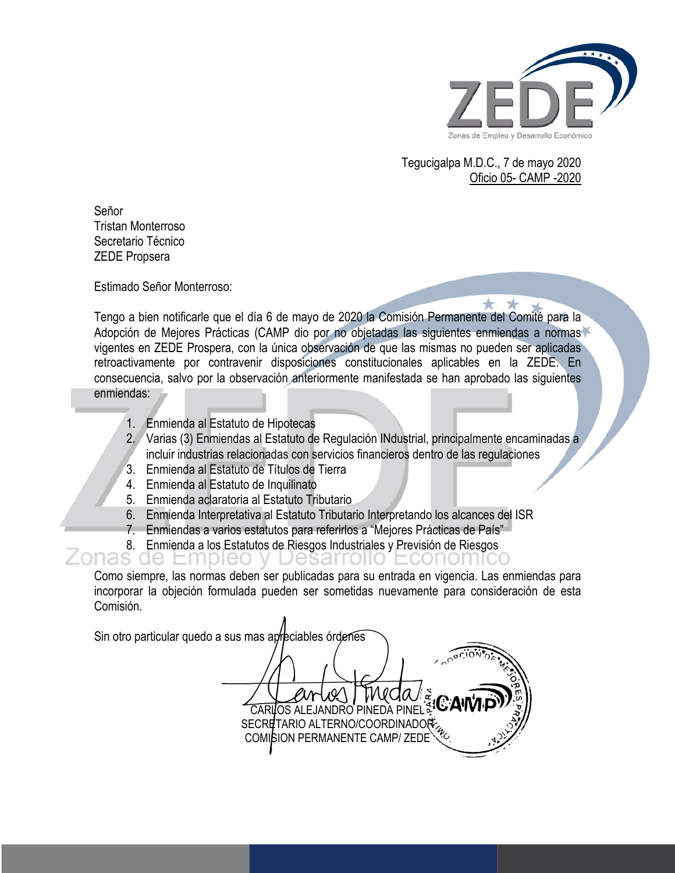

Tegucigalpa M.D.C., 7 de mayo 2020 Oficio 05- CAMP -2020

Señor Tristan Monterroso Secretario Técnico ZEDE Propsera

Estimado Señor Monterroso:

Tengo a bien notificarle que el día 6 de mayo de 2020 la Comisión Permanente del Comité para la Adopción de Mejores Prácticas (CAMP dio por no objetadas las siguientes enmiendas a normas vigentes en ZEDE Prospera, con la única observación de que las mismas no pueden ser aplicadas retroactivamente por contravenir disposiciones constitucionales aplicables en la ZEDE. En consecuencia, salvo por la observación anteriormente manifestada se han aprobado las siguientes enmiendas:

- 1. Enmienda al Estatuto de Hipotecas
- 2. Varias (3) Enmiendas al Estatuto de Regulación INdustrial, principalmente encaminadas a incluir industrias relacionadas con servicios financieros dentro de las regulaciones
- 3. Enmienda al Estatuto de Títulos de Tierra
- 4. Enmienda al Estatuto de Inquilinato
- 5. Enmienda aclaratoria al Estatuto Tributario
- 6. Enmienda Interpretativa al Estatuto Tributario Interpretando los alcances del ISR
- 7. Enmiendas a varios estatutos para referirlos a "Mejores Prácticas de País"
- 8. Enmienda a los Estatutos de Riesgos Industriales y Previsión de Riesgos <br>CONOS QC EMPICO **Desarrollo Economico**

Como siempre, las normas deben ser publicadas para su entrada en vigencia. Las enmiendas para incorporar la objeción formulada pueden ser sometidas nuevamente para consideración de esta Comisión.

Sin otro particular quedo a sus mas apreciables órdenes CARLOS ALEJANDRO PINEDA PINEL SECRETARIO ALTERNO/COORDINADORE COMISION PERMANENTE CAMP/ ZEDE